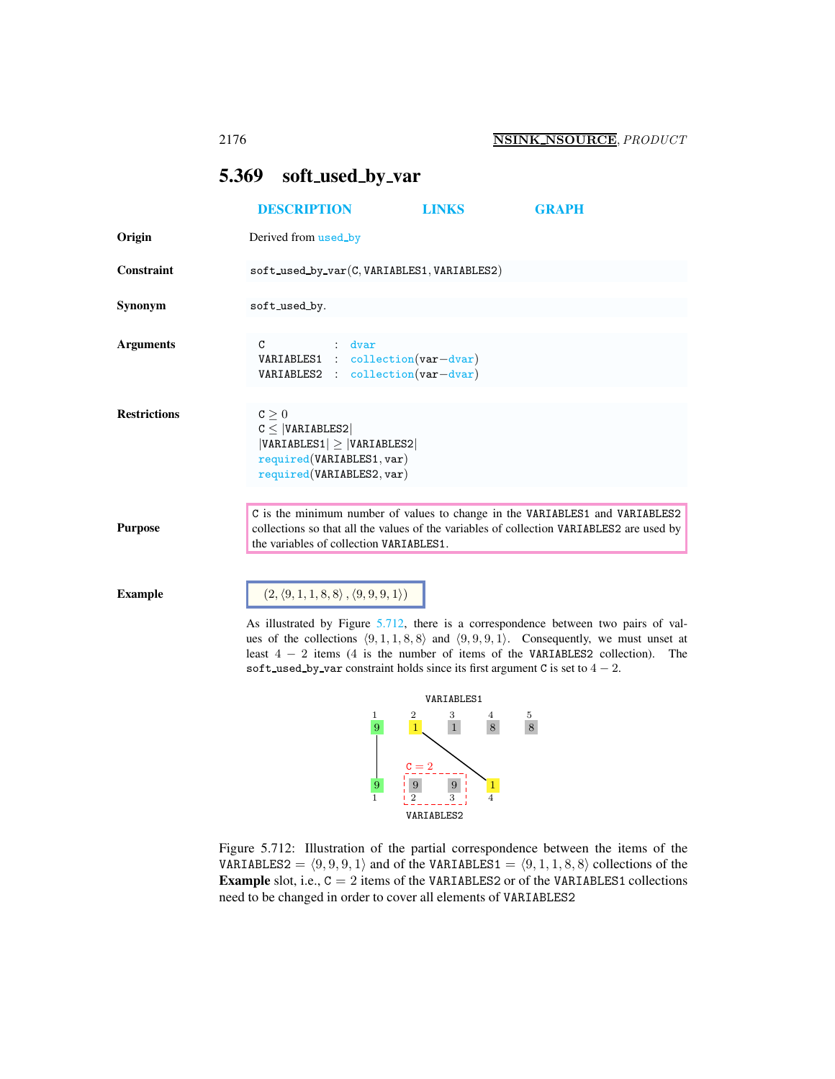## <span id="page-0-0"></span>5.369 soft\_used\_by\_var

|                     | <b>DESCRIPTION</b>                                                                                                                                                                                                                                                                                                                                                                                                        | <b>LINKS</b> | <b>GRAPH</b> |
|---------------------|---------------------------------------------------------------------------------------------------------------------------------------------------------------------------------------------------------------------------------------------------------------------------------------------------------------------------------------------------------------------------------------------------------------------------|--------------|--------------|
| Origin              | Derived from used_by                                                                                                                                                                                                                                                                                                                                                                                                      |              |              |
| Constraint          | $soft$ used_by_var( $C$ , VARIABLES1, VARIABLES2)                                                                                                                                                                                                                                                                                                                                                                         |              |              |
| <b>Synonym</b>      | soft_used_by.                                                                                                                                                                                                                                                                                                                                                                                                             |              |              |
| <b>Arguments</b>    | $\mathcal{C}$<br>$:$ dvar<br>VARIABLES1 : collection(var-dvar)<br>VARIABLES2 : collection(var-dvar)                                                                                                                                                                                                                                                                                                                       |              |              |
| <b>Restrictions</b> | $C\geq 0$<br>$C \leq  VARIABLES2 $<br>$ VARIABLES1  \ge  VARIABLES2 $<br>required(VARIABLES1, var)<br>required(VARIABLES2, var)                                                                                                                                                                                                                                                                                           |              |              |
| <b>Purpose</b>      | C is the minimum number of values to change in the VARIABLES1 and VARIABLES2<br>collections so that all the values of the variables of collection VARIABLES2 are used by<br>the variables of collection VARIABLES1.                                                                                                                                                                                                       |              |              |
| <b>Example</b>      | $(2, \langle 9, 1, 1, 8, 8 \rangle, \langle 9, 9, 9, 1 \rangle)$<br>As illustrated by Figure 5.712, there is a correspondence between two pairs of val-<br>ues of the collections $(9, 1, 1, 8, 8)$ and $(9, 9, 9, 1)$ . Consequently, we must unset at<br>least $4-2$ items (4 is the number of items of the VARIABLES2 collection).<br>soft used by var constraint holds since its first argument C is set to $4 - 2$ . |              | The          |



<span id="page-0-1"></span>Figure 5.712: Illustration of the partial correspondence between the items of the VARIABLES2 =  $(9, 9, 9, 1)$  and of the VARIABLES1 =  $(9, 1, 1, 8, 8)$  collections of the **Example** slot, i.e.,  $C = 2$  items of the VARIABLES2 or of the VARIABLES1 collections need to be changed in order to cover all elements of VARIABLES2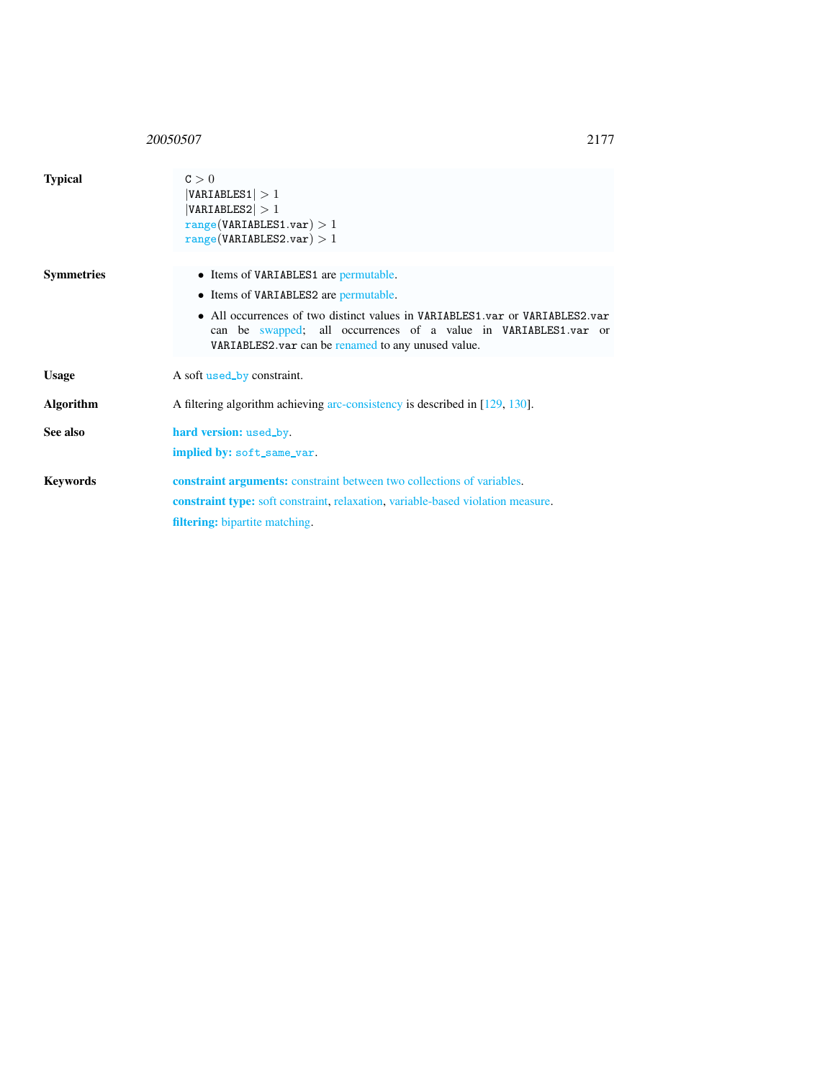## 20050507 2177

<span id="page-1-0"></span>

| <b>Typical</b>    | C > 0<br> VARIABLES1  > 1<br> VARIABLES2  > 1<br>range(VARIABLES1.var) > 1<br>range(VARIABLES2.var) > 1                                                                                                |  |  |
|-------------------|--------------------------------------------------------------------------------------------------------------------------------------------------------------------------------------------------------|--|--|
| <b>Symmetries</b> | • Items of VARIABLES1 are permutable.                                                                                                                                                                  |  |  |
|                   | • Items of VARIABLES2 are permutable.                                                                                                                                                                  |  |  |
|                   | • All occurrences of two distinct values in VARIABLES1.var or VARIABLES2.var<br>can be swapped; all occurrences of a value in VARIABLES1.var or<br>VARIABLES2. var can be renamed to any unused value. |  |  |
| <b>Usage</b>      | A soft used by constraint.                                                                                                                                                                             |  |  |
| <b>Algorithm</b>  | A filtering algorithm achieving arc-consistency is described in $[129, 130]$ .                                                                                                                         |  |  |
| See also          | hard version: used_by.                                                                                                                                                                                 |  |  |
|                   | implied by: soft_same_var.                                                                                                                                                                             |  |  |
| <b>Keywords</b>   | <b>constraint arguments:</b> constraint between two collections of variables.                                                                                                                          |  |  |
|                   | <b>constraint type:</b> soft constraint, relaxation, variable-based violation measure.                                                                                                                 |  |  |
|                   | <b>filtering:</b> bipartite matching.                                                                                                                                                                  |  |  |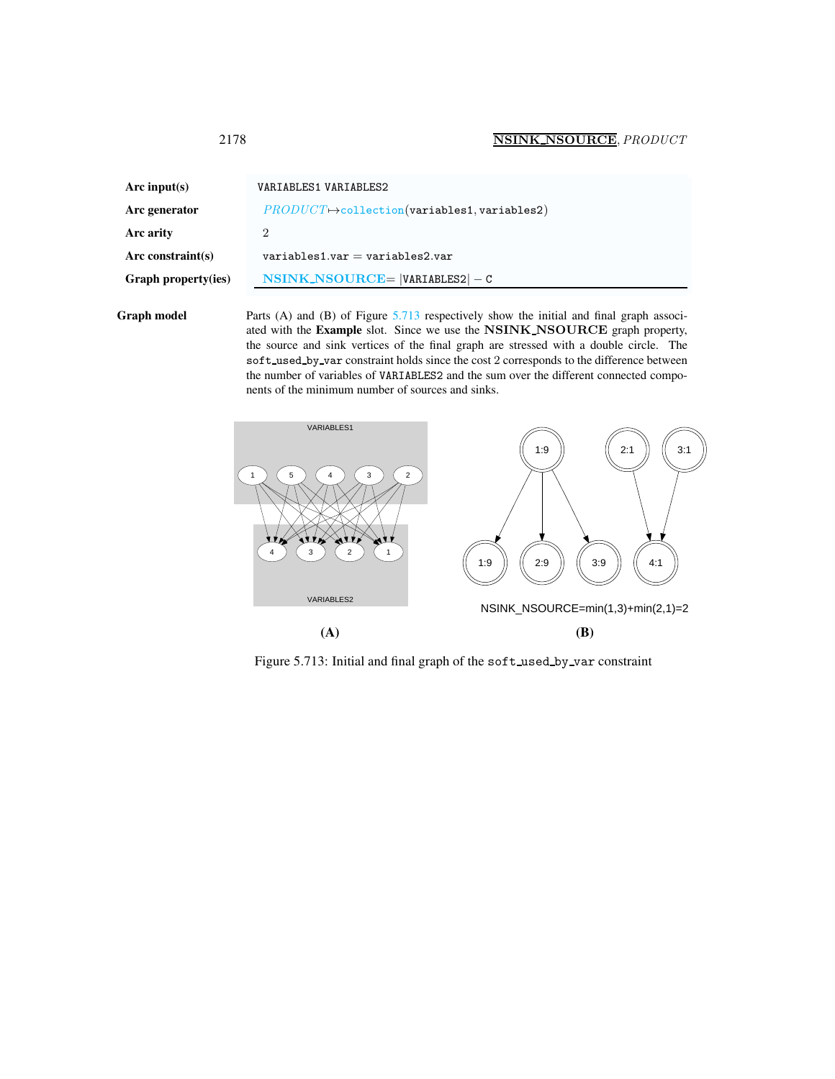<span id="page-2-0"></span>

| Arc input(s)        | VARIABLES1 VARIABLES2                                    |
|---------------------|----------------------------------------------------------|
| Arc generator       | $PRODUCT \rightarrow collection(variables1, variables2)$ |
| Arc arity           | 2                                                        |
| Arc constraint(s)   | $variable$ s1.var = variables2.var                       |
| Graph property(ies) | $NSINK_NSOURCE =  VARIABLES2  - C$                       |
|                     |                                                          |

Graph model Parts (A) and (B) of Figure [5.713](#page-2-1) respectively show the initial and final graph associated with the Example slot. Since we use the NSINK NSOURCE graph property, the source and sink vertices of the final graph are stressed with a double circle. The soft used by var constraint holds since the cost 2 corresponds to the difference between the number of variables of VARIABLES2 and the sum over the different connected components of the minimum number of sources and sinks.



<span id="page-2-1"></span>Figure 5.713: Initial and final graph of the soft used by var constraint